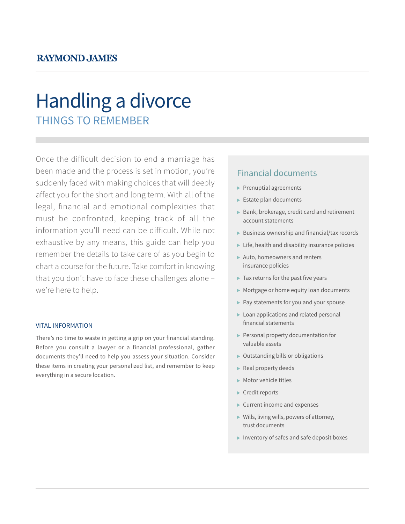### **RAYMOND JAMES**

# THINGS TO REMEMBER Handling a divorce

Once the difficult decision to end a marriage has been made and the process is set in motion, you're suddenly faced with making choices that will deeply affect you for the short and long term. With all of the legal, financial and emotional complexities that must be confronted, keeping track of all the information you'll need can be difficult. While not exhaustive by any means, this guide can help you remember the details to take care of as you begin to chart a course for the future. Take comfort in knowing that you don't have to face these challenges alone – we're here to help.

#### VITAL INFORMATION

There's no time to waste in getting a grip on your financial standing. Before you consult a lawyer or a financial professional, gather documents they'll need to help you assess your situation. Consider these items in creating your personalized list, and remember to keep everything in a secure location.

### Financial documents

- $\blacktriangleright$  Prenuptial agreements
- Estate plan documents
- $\triangleright$  Bank, brokerage, credit card and retirement account statements
- $\blacktriangleright$  Business ownership and financial/tax records
- $\blacktriangleright$  Life, health and disability insurance policies
- Auto, homeowners and renters insurance policies
- $\blacktriangleright$  Tax returns for the past five years
- Mortgage or home equity loan documents
- Pay statements for you and your spouse
- ▶ Loan applications and related personal financial statements
- $\blacktriangleright$  Personal property documentation for valuable assets
- Outstanding bills or obligations
- Real property deeds
- Motor vehicle titles
- ▶ Credit reports
- Current income and expenses
- Wills, living wills, powers of attorney, trust documents
- Inventory of safes and safe deposit boxes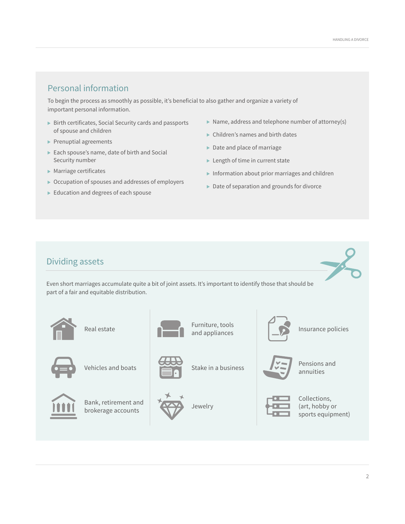### Personal information

To begin the process as smoothly as possible, it's beneficial to also gather and organize a variety of important personal information.

- Birth certificates, Social Security cards and passports of spouse and children
- $\blacktriangleright$  Prenuptial agreements
- ▶ Each spouse's name, date of birth and Social Security number
- $\blacktriangleright$  Marriage certificates
- Occupation of spouses and addresses of employers
- Education and degrees of each spouse
- $\triangleright$  Name, address and telephone number of attorney(s)
- Children's names and birth dates
- Date and place of marriage
- ► Length of time in current state
- $\blacktriangleright$  Information about prior marriages and children
- Date of separation and grounds for divorce

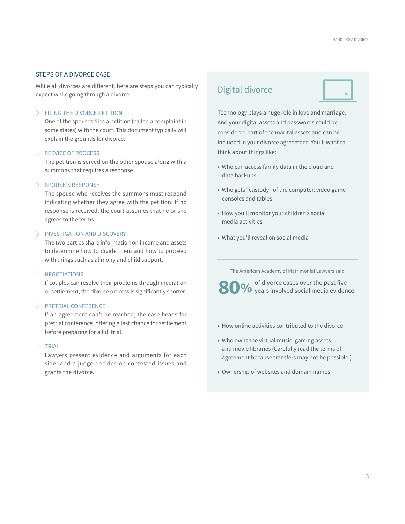#### STEPS OF A DIVORCE CASE

While all divorces are different, here are steps you can typically expect while going through a divorce.

#### FILING THE DIVORCE PETITION

One of the spouses files a petition (called a complaint in some states) with the court. This document typically will explain the grounds for divorce.

#### SERVICE OF PROCESS

The petition is served on the other spouse along with a summons that requires a response.

#### SPOUSE'S RESPONSE

The spouse who receives the summons must respond indicating whether they agree with the petition. If no response is received, the court assumes that he or she agrees to the terms.

#### INVESTIGATION AND DISCOVERY

The two parties share information on income and assets to determine how to divide them and how to proceed with things such as alimony and child support.

#### **NEGOTIATIONS**

If couples can resolve their problems through mediation or settlement, the divorce process is significantly shorter.

#### PRETRIAL CONFERENCE

If an agreement can't be reached, the case heads for pretrial conference, offering a last chance for settlement before preparing for a full trial.

#### TRIAL

Lawyers present evidence and arguments for each side, and a judge decides on contested issues and grants the divorce.

### Digital divorce

Technology plays a huge role in love and marriage. And your digital assets and passwords could be considered part of the marital assets and can be included in your divorce agreement. You'll want to think about things like:

- Who can access family data in the cloud and data backups
- Who gets "custody" of the computer, video game consoles and tables
- How you'll monitor your children's social media activities
- What you'll reveal on social media

The American Academy of Matrimonial Lawyers said

**00%** of divorce cases over the past five years involved social media evidence.

- How online activities contributed to the divorce
- Who owns the virtual music, gaming assets and movie libraries (Carefully read the terms of agreement because transfers may not be possible.)
- Ownership of websites and domain names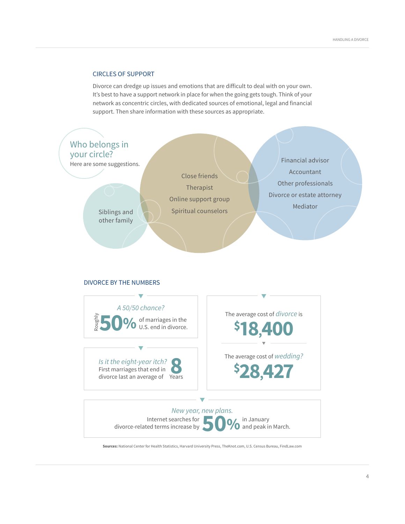#### CIRCLES OF SUPPORT

Divorce can dredge up issues and emotions that are difficult to deal with on your own. It's best to have a support network in place for when the going gets tough. Think of your network as concentric circles, with dedicated sources of emotional, legal and financial support. Then share information with these sources as appropriate.